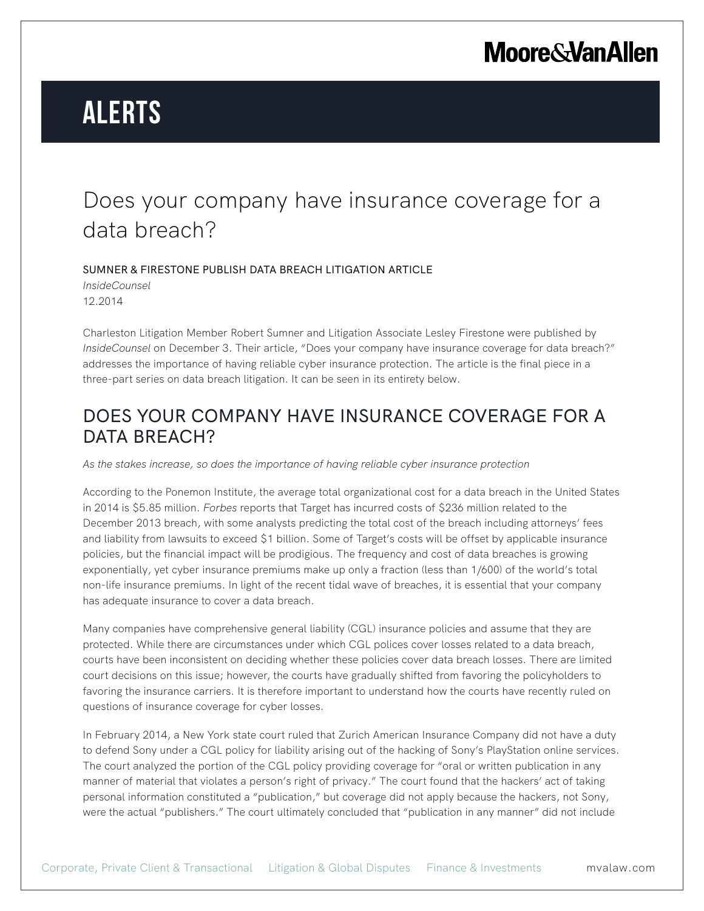## **Moore & Van Allen**

# **Alerts**

## Does your company have insurance coverage for a data breach?

SUMNER & FIRESTONE PUBLISH DATA BREACH LITIGATION ARTICLE

*InsideCounsel* 12.2014

Charleston Litigation Member Robert Sumner and Litigation Associate Lesley Firestone were published by *InsideCounsel* on December 3. Their article, "Does your company have insurance coverage for data breach?" addresses the importance of having reliable cyber insurance protection. The article is the final piece in a three-part series on data breach litigation. It can be seen in its entirety below.

### DOES YOUR COMPANY HAVE INSURANCE COVERAGE FOR A DATA BREACH?

*As the stakes increase, so does the importance of having reliable cyber insurance protection*

According to the Ponemon Institute, the average total organizational cost for a data breach in the United States in 2014 is \$5.85 million. *Forbes* reports that Target has incurred costs of \$236 million related to the December 2013 breach, with some analysts predicting the total cost of the breach including attorneys' fees and liability from lawsuits to exceed \$1 billion. Some of Target's costs will be offset by applicable insurance policies, but the financial impact will be prodigious. The frequency and cost of data breaches is growing exponentially, yet cyber insurance premiums make up only a fraction (less than 1/600) of the world's total non-life insurance premiums. In light of the recent tidal wave of breaches, it is essential that your company has adequate insurance to cover a data breach.

Many companies have comprehensive general liability (CGL) insurance policies and assume that they are protected. While there are circumstances under which CGL polices cover losses related to a data breach, courts have been inconsistent on deciding whether these policies cover data breach losses. There are limited court decisions on this issue; however, the courts have gradually shifted from favoring the policyholders to favoring the insurance carriers. It is therefore important to understand how the courts have recently ruled on questions of insurance coverage for cyber losses.

In February 2014, a New York state court ruled that Zurich American Insurance Company did not have a duty to defend Sony under a CGL policy for liability arising out of the hacking of Sony's PlayStation online services. The court analyzed the portion of the CGL policy providing coverage for "oral or written publication in any manner of material that violates a person's right of privacy." The court found that the hackers' act of taking personal information constituted a "publication," but coverage did not apply because the hackers, not Sony, were the actual "publishers." The court ultimately concluded that "publication in any manner" did not include